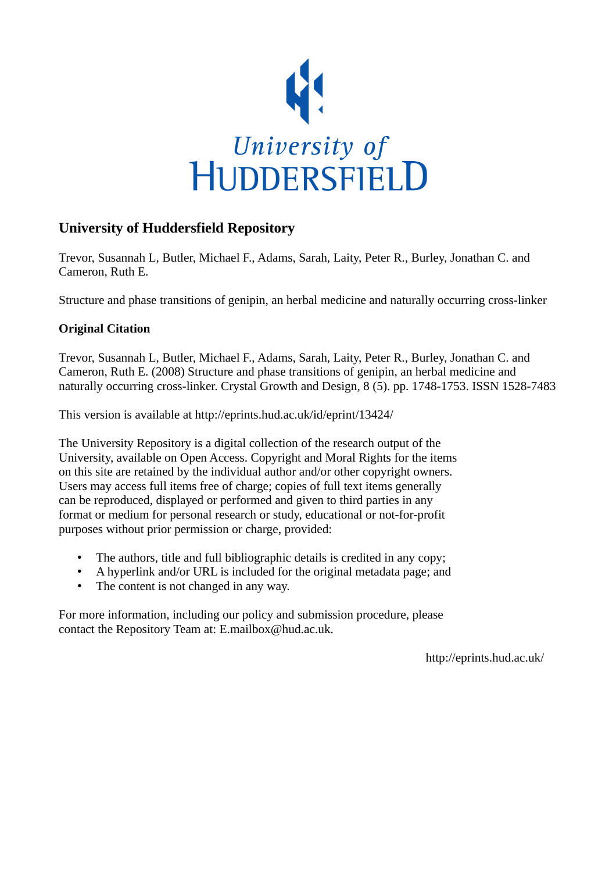

# **University of Huddersfield Repository**

Trevor, Susannah L, Butler, Michael F., Adams, Sarah, Laity, Peter R., Burley, Jonathan C. and Cameron, Ruth E.

Structure and phase transitions of genipin, an herbal medicine and naturally occurring cross-linker

## **Original Citation**

Trevor, Susannah L, Butler, Michael F., Adams, Sarah, Laity, Peter R., Burley, Jonathan C. and Cameron, Ruth E. (2008) Structure and phase transitions of genipin, an herbal medicine and naturally occurring cross-linker. Crystal Growth and Design, 8 (5). pp. 1748-1753. ISSN 1528-7483

This version is available at http://eprints.hud.ac.uk/id/eprint/13424/

The University Repository is a digital collection of the research output of the University, available on Open Access. Copyright and Moral Rights for the items on this site are retained by the individual author and/or other copyright owners. Users may access full items free of charge; copies of full text items generally can be reproduced, displayed or performed and given to third parties in any format or medium for personal research or study, educational or not-for-profit purposes without prior permission or charge, provided:

- The authors, title and full bibliographic details is credited in any copy;
- A hyperlink and/or URL is included for the original metadata page; and
- The content is not changed in any way.

For more information, including our policy and submission procedure, please contact the Repository Team at: E.mailbox@hud.ac.uk.

http://eprints.hud.ac.uk/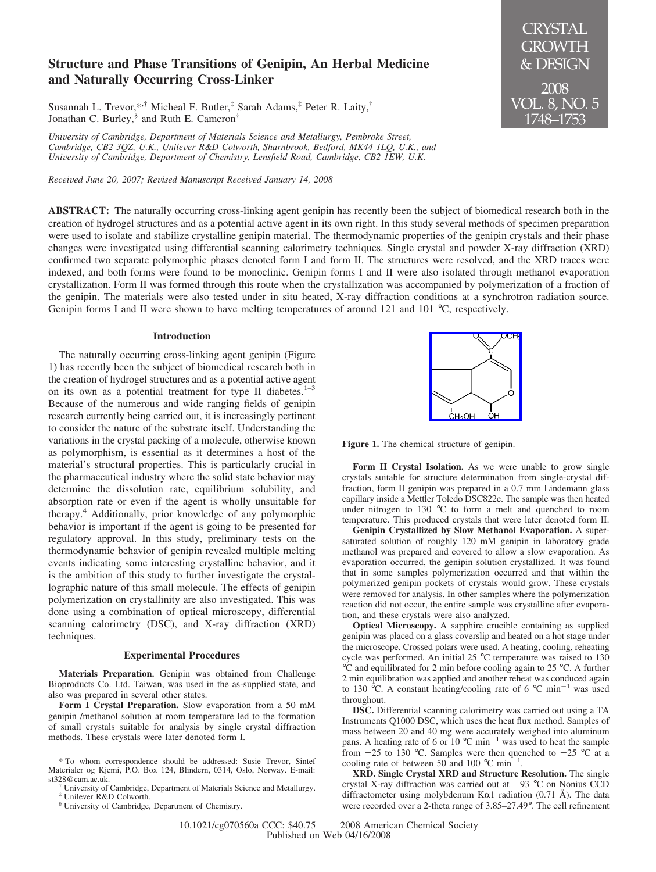### **Structure and Phase Transitions of Genipin, An Herbal Medicine and Naturally Occurring Cross-Linker**

Susannah L. Trevor,\*,† Micheal F. Butler,‡ Sarah Adams,‡ Peter R. Laity,† Jonathan C. Burley,§ and Ruth E. Cameron†

*University of Cambridge, Department of Materials Science and Metallurgy, Pembroke Street, Cambridge, CB2 3QZ, U.K., Unile*V*er R&D Colworth, Sharnbrook, Bedford, MK44 1LQ, U.K., and University of Cambridge, Department of Chemistry, Lensfield Road, Cambridge, CB2 1EW, U.K.* 

*Recei*V*ed June 20, 2007; Re*V*ised Manuscript Recei*V*ed January 14, 2008*



**ABSTRACT:** The naturally occurring cross-linking agent genipin has recently been the subject of biomedical research both in the creation of hydrogel structures and as a potential active agent in its own right. In this study several methods of specimen preparation were used to isolate and stabilize crystalline genipin material. The thermodynamic properties of the genipin crystals and their phase changes were investigated using differential scanning calorimetry techniques. Single crystal and powder X-ray diffraction (XRD) confirmed two separate polymorphic phases denoted form I and form II. The structures were resolved, and the XRD traces were indexed, and both forms were found to be monoclinic. Genipin forms I and II were also isolated through methanol evaporation crystallization. Form II was formed through this route when the crystallization was accompanied by polymerization of a fraction of the genipin. The materials were also tested under in situ heated, X-ray diffraction conditions at a synchrotron radiation source. Genipin forms I and II were shown to have melting temperatures of around 121 and 101 °C, respectively.

#### **Introduction**

The naturally occurring cross-linking agent genipin (Figure 1) has recently been the subject of biomedical research both in the creation of hydrogel structures and as a potential active agent on its own as a potential treatment for type II diabetes.<sup>1-3</sup> Because of the numerous and wide ranging fields of genipin research currently being carried out, it is increasingly pertinent to consider the nature of the substrate itself. Understanding the variations in the crystal packing of a molecule, otherwise known as polymorphism, is essential as it determines a host of the material's structural properties. This is particularly crucial in the pharmaceutical industry where the solid state behavior may determine the dissolution rate, equilibrium solubility, and absorption rate or even if the agent is wholly unsuitable for therapy.<sup>4</sup> Additionally, prior knowledge of any polymorphic behavior is important if the agent is going to be presented for regulatory approval. In this study, preliminary tests on the thermodynamic behavior of genipin revealed multiple melting events indicating some interesting crystalline behavior, and it is the ambition of this study to further investigate the crystallographic nature of this small molecule. The effects of genipin polymerization on crystallinity are also investigated. This was done using a combination of optical microscopy, differential scanning calorimetry (DSC), and X-ray diffraction (XRD) techniques.

#### **Experimental Procedures**

**Materials Preparation.** Genipin was obtained from Challenge Bioproducts Co. Ltd. Taiwan, was used in the as-supplied state, and also was prepared in several other states.

**Form I Crystal Preparation.** Slow evaporation from a 50 mM genipin /methanol solution at room temperature led to the formation of small crystals suitable for analysis by single crystal diffraction methods. These crystals were later denoted form I.

๎∵н⊿он Ò⊩

**Figure 1.** The chemical structure of genipin.

Form II Crystal Isolation. As we were unable to grow single crystals suitable for structure determination from single-crystal diffraction, form II genipin was prepared in a 0.7 mm Lindemann glass capillary inside a Mettler Toledo DSC822e. The sample was then heated under nitrogen to 130 °C to form a melt and quenched to room temperature. This produced crystals that were later denoted form II.

**Genipin Crystallized by Slow Methanol Evaporation.** A supersaturated solution of roughly 120 mM genipin in laboratory grade methanol was prepared and covered to allow a slow evaporation. As evaporation occurred, the genipin solution crystallized. It was found that in some samples polymerization occurred and that within the polymerized genipin pockets of crystals would grow. These crystals were removed for analysis. In other samples where the polymerization reaction did not occur, the entire sample was crystalline after evaporation, and these crystals were also analyzed.

**Optical Microscopy.** A sapphire crucible containing as supplied genipin was placed on a glass coverslip and heated on a hot stage under the microscope. Crossed polars were used. A heating, cooling, reheating cycle was performed. An initial 25 °C temperature was raised to 130 °C and equilibrated for 2 min before cooling again to 25 °C. A further 2 min equilibration was applied and another reheat was conduced again to 130 °C. A constant heating/cooling rate of 6 °C min<sup>-1</sup> was used throughout.

**DSC.** Differential scanning calorimetry was carried out using a TA Instruments Q1000 DSC, which uses the heat flux method. Samples of mass between 20 and 40 mg were accurately weighed into aluminum pans. A heating rate of 6 or  $10^{\circ}$ C min<sup>-1</sup> was used to heat the sample from  $-25$  to 130 °C. Samples were then quenched to  $-25$  °C at a cooling rate of between 50 and 100  $^{\circ}$ C min<sup>-1</sup>.

**XRD. Single Crystal XRD and Structure Resolution.** The single crystal X-ray diffraction was carried out at  $-93$  °C on Nonius CCD diffractometer using molybdenum K $\alpha$ 1 radiation (0.71 Å). The data were recorded over a 2-theta range of 3.85–27.49°. The cell refinement

<sup>\*</sup> To whom correspondence should be addressed: Susie Trevor, Sintef Materialer og Kjemi, P.O. Box 124, Blindern, 0314, Oslo, Norway. E-mail:

University of Cambridge, Department of Materials Science and Metallurgy. ‡ Unilever R&D Colworth.

<sup>§</sup> University of Cambridge, Department of Chemistry.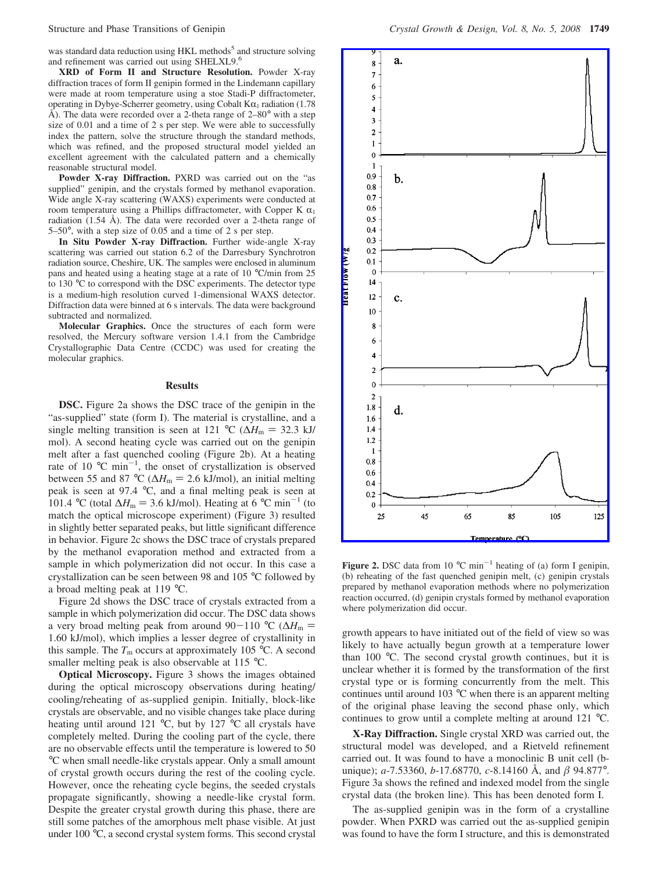was standard data reduction using HKL methods<sup>5</sup> and structure solving and refinement was carried out using SHELXL9.6

**XRD of Form II and Structure Resolution.** Powder X-ray diffraction traces of form II genipin formed in the Lindemann capillary were made at room temperature using a stoe Stadi-P diffractometer, operating in Dybye-Scherrer geometry, using Cobalt  $K\alpha_1$  radiation (1.78) Å). The data were recorded over a 2-theta range of 2–80° with a step size of 0.01 and a time of 2 s per step. We were able to successfully index the pattern, solve the structure through the standard methods, which was refined, and the proposed structural model yielded an excellent agreement with the calculated pattern and a chemically reasonable structural model.

**Powder X-ray Diffraction.** PXRD was carried out on the "as supplied" genipin, and the crystals formed by methanol evaporation. Wide angle X-ray scattering (WAXS) experiments were conducted at room temperature using a Phillips diffractometer, with Copper K  $\alpha_1$ radiation (1.54 Å). The data were recorded over a 2-theta range of 5–50°, with a step size of 0.05 and a time of 2 s per step.

**In Situ Powder X-ray Diffraction.** Further wide-angle X-ray scattering was carried out station 6.2 of the Darresbury Synchrotron radiation source, Cheshire, UK. The samples were enclosed in aluminum pans and heated using a heating stage at a rate of 10 °C/min from 25 to 130 °C to correspond with the DSC experiments. The detector type is a medium-high resolution curved 1-dimensional WAXS detector. Diffraction data were binned at 6 s intervals. The data were background subtracted and normalized.

**Molecular Graphics.** Once the structures of each form were resolved, the Mercury software version 1.4.1 from the Cambridge Crystallographic Data Centre (CCDC) was used for creating the molecular graphics.

#### **Results**

**DSC.** Figure 2a shows the DSC trace of the genipin in the "as-supplied" state (form I). The material is crystalline, and a single melting transition is seen at 121 °C ( $\Delta H_{\text{m}} = 32.3 \text{ kJ/m}$ ) mol). A second heating cycle was carried out on the genipin melt after a fast quenched cooling (Figure 2b). At a heating rate of 10  $^{\circ}$ C min<sup>-1</sup>, the onset of crystallization is observed between 55 and 87 °C ( $\Delta H_{\text{m}}$  = 2.6 kJ/mol), an initial melting peak is seen at 97.4 °C, and a final melting peak is seen at 101.4 °C (total  $\Delta H$ <sub>m</sub> = 3.6 kJ/mol). Heating at 6 °C min<sup>-1</sup> (to match the optical microscope experiment) (Figure 3) resulted in slightly better separated peaks, but little significant difference in behavior. Figure 2c shows the DSC trace of crystals prepared by the methanol evaporation method and extracted from a sample in which polymerization did not occur. In this case a crystallization can be seen between 98 and 105 °C followed by a broad melting peak at 119 °C.

Figure 2d shows the DSC trace of crystals extracted from a sample in which polymerization did occur. The DSC data shows a very broad melting peak from around 90-110 °C ( $\Delta H_{\text{m}}$  = 1.60 kJ/mol), which implies a lesser degree of crystallinity in this sample. The  $T_m$  occurs at approximately 105 °C. A second smaller melting peak is also observable at 115 °C.

**Optical Microscopy.** Figure 3 shows the images obtained during the optical microscopy observations during heating/ cooling/reheating of as-supplied genipin. Initially, block-like crystals are observable, and no visible changes take place during heating until around 121 °C, but by 127 °C all crystals have completely melted. During the cooling part of the cycle, there are no observable effects until the temperature is lowered to 50 °C when small needle-like crystals appear. Only a small amount of crystal growth occurs during the rest of the cooling cycle. However, once the reheating cycle begins, the seeded crystals propagate significantly, showing a needle-like crystal form. Despite the greater crystal growth during this phase, there are still some patches of the amorphous melt phase visible. At just under 100 °C, a second crystal system forms. This second crystal



**Figure 2.** DSC data from 10  $^{\circ}$ C min<sup>-1</sup> heating of (a) form I genipin, (b) reheating of the fast quenched genipin melt, (c) genipin crystals prepared by methanol evaporation methods where no polymerization reaction occurred, (d) genipin crystals formed by methanol evaporation where polymerization did occur.

growth appears to have initiated out of the field of view so was likely to have actually begun growth at a temperature lower than 100 °C. The second crystal growth continues, but it is unclear whether it is formed by the transformation of the first crystal type or is forming concurrently from the melt. This continues until around 103 °C when there is an apparent melting of the original phase leaving the second phase only, which continues to grow until a complete melting at around 121 °C.

**X-Ray Diffraction.** Single crystal XRD was carried out, the structural model was developed, and a Rietveld refinement carried out. It was found to have a monoclinic B unit cell (bunique);  $a-7.53360$ ,  $b-17.68770$ ,  $c-8.14160$  Å, and  $\beta$  94.877°. Figure 3a shows the refined and indexed model from the single crystal data (the broken line). This has been denoted form I.

The as-supplied genipin was in the form of a crystalline powder. When PXRD was carried out the as-supplied genipin was found to have the form I structure, and this is demonstrated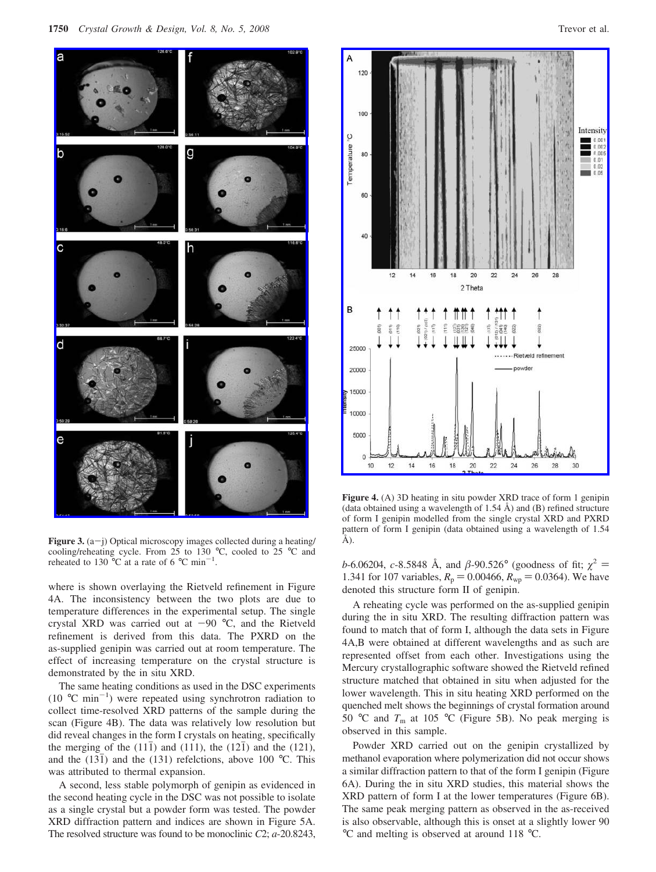

Figure 3.  $(a-j)$  Optical microscopy images collected during a heating/ cooling/reheating cycle. From 25 to 130 °C, cooled to 25 °C and reheated to 130 °C at a rate of 6 °C min<sup>-1</sup>.

where is shown overlaying the Rietveld refinement in Figure 4A. The inconsistency between the two plots are due to temperature differences in the experimental setup. The single crystal XRD was carried out at  $-90$  °C, and the Rietveld refinement is derived from this data. The PXRD on the as-supplied genipin was carried out at room temperature. The effect of increasing temperature on the crystal structure is demonstrated by the in situ XRD.

The same heating conditions as used in the DSC experiments (10 °C min-<sup>1</sup> ) were repeated using synchrotron radiation to collect time-resolved XRD patterns of the sample during the scan (Figure 4B). The data was relatively low resolution but did reveal changes in the form I crystals on heating, specifically the merging of the  $(11\bar{1})$  and  $(111)$ , the  $(12\bar{1})$  and the  $(121)$ , and the  $(13\bar{1})$  and the  $(131)$  refelctions, above 100 °C. This was attributed to thermal expansion.

A second, less stable polymorph of genipin as evidenced in the second heating cycle in the DSC was not possible to isolate as a single crystal but a powder form was tested. The powder XRD diffraction pattern and indices are shown in Figure 5A. The resolved structure was found to be monoclinic *C*2; *a*-20.8243,



**Figure 4.** (A) 3D heating in situ powder XRD trace of form 1 genipin (data obtained using a wavelength of 1.54 Å) and (B) refined structure of form I genipin modelled from the single crystal XRD and PXRD pattern of form I genipin (data obtained using a wavelength of 1.54 Å).

*b*-6.06204, *c*-8.5848 Å, and  $\beta$ -90.526° (goodness of fit;  $\chi^2$ 1.341 for 107 variables,  $R_p = 0.00466$ ,  $R_{wp} = 0.0364$ ). We have denoted this structure form II of genipin.

A reheating cycle was performed on the as-supplied genipin during the in situ XRD. The resulting diffraction pattern was found to match that of form I, although the data sets in Figure 4A,B were obtained at different wavelengths and as such are represented offset from each other. Investigations using the Mercury crystallographic software showed the Rietveld refined structure matched that obtained in situ when adjusted for the lower wavelength. This in situ heating XRD performed on the quenched melt shows the beginnings of crystal formation around 50 °C and  $T_m$  at 105 °C (Figure 5B). No peak merging is observed in this sample.

Powder XRD carried out on the genipin crystallized by methanol evaporation where polymerization did not occur shows a similar diffraction pattern to that of the form I genipin (Figure 6A). During the in situ XRD studies, this material shows the XRD pattern of form I at the lower temperatures (Figure 6B). The same peak merging pattern as observed in the as-received is also observable, although this is onset at a slightly lower 90 °C and melting is observed at around 118 °C.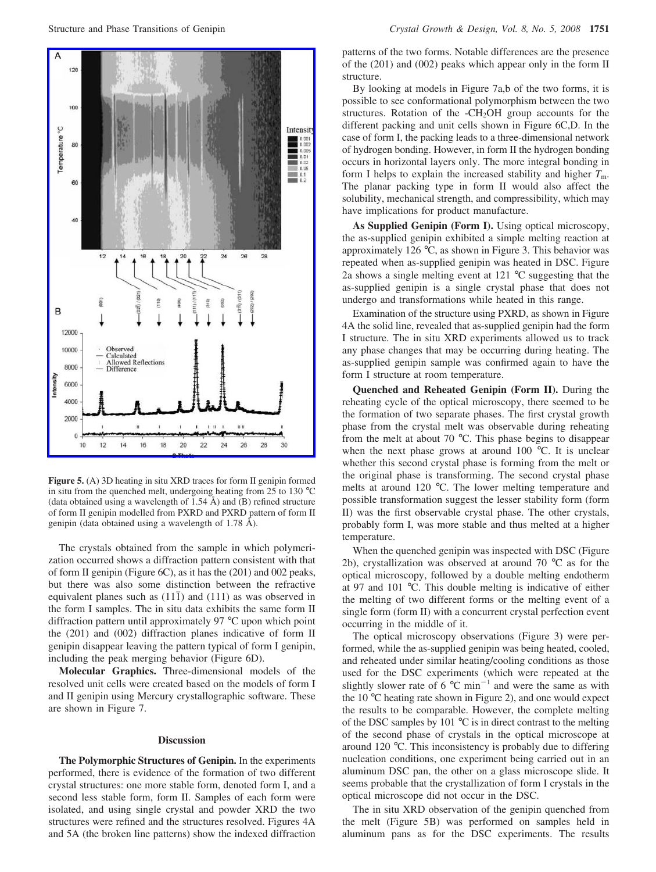

**Figure 5.** (A) 3D heating in situ XRD traces for form II genipin formed in situ from the quenched melt, undergoing heating from 25 to 130  $^{\circ}$ C (data obtained using a wavelength of 1.54 Å) and (B) refined structure of form II genipin modelled from PXRD and PXRD pattern of form II genipin (data obtained using a wavelength of 1.78 Å).

The crystals obtained from the sample in which polymerization occurred shows a diffraction pattern consistent with that of form II genipin (Figure 6C), as it has the (201) and 002 peaks, but there was also some distinction between the refractive equivalent planes such as  $(11\bar{1})$  and  $(111)$  as was observed in the form I samples. The in situ data exhibits the same form II diffraction pattern until approximately 97 °C upon which point the (201) and (002) diffraction planes indicative of form II genipin disappear leaving the pattern typical of form I genipin, including the peak merging behavior (Figure 6D).

**Molecular Graphics.** Three-dimensional models of the resolved unit cells were created based on the models of form I and II genipin using Mercury crystallographic software. These are shown in Figure 7.

#### **Discussion**

**The Polymorphic Structures of Genipin.** In the experiments performed, there is evidence of the formation of two different crystal structures: one more stable form, denoted form I, and a second less stable form, form II. Samples of each form were isolated, and using single crystal and powder XRD the two structures were refined and the structures resolved. Figures 4A and 5A (the broken line patterns) show the indexed diffraction patterns of the two forms. Notable differences are the presence of the (201) and (002) peaks which appear only in the form II structure.

By looking at models in Figure 7a,b of the two forms, it is possible to see conformational polymorphism between the two structures. Rotation of the -CH<sub>2</sub>OH group accounts for the different packing and unit cells shown in Figure 6C,D. In the case of form I, the packing leads to a three-dimensional network of hydrogen bonding. However, in form II the hydrogen bonding occurs in horizontal layers only. The more integral bonding in form I helps to explain the increased stability and higher  $T<sub>m</sub>$ . The planar packing type in form II would also affect the solubility, mechanical strength, and compressibility, which may have implications for product manufacture.

**As Supplied Genipin (Form I).** Using optical microscopy, the as-supplied genipin exhibited a simple melting reaction at approximately 126 °C, as shown in Figure 3. This behavior was repeated when as-supplied genipin was heated in DSC. Figure 2a shows a single melting event at 121 °C suggesting that the as-supplied genipin is a single crystal phase that does not undergo and transformations while heated in this range.

Examination of the structure using PXRD, as shown in Figure 4A the solid line, revealed that as-supplied genipin had the form I structure. The in situ XRD experiments allowed us to track any phase changes that may be occurring during heating. The as-supplied genipin sample was confirmed again to have the form I structure at room temperature.

**Quenched and Reheated Genipin (Form II).** During the reheating cycle of the optical microscopy, there seemed to be the formation of two separate phases. The first crystal growth phase from the crystal melt was observable during reheating from the melt at about 70 °C. This phase begins to disappear when the next phase grows at around 100 °C. It is unclear whether this second crystal phase is forming from the melt or the original phase is transforming. The second crystal phase melts at around 120 °C. The lower melting temperature and possible transformation suggest the lesser stability form (form II) was the first observable crystal phase. The other crystals, probably form I, was more stable and thus melted at a higher temperature.

When the quenched genipin was inspected with DSC (Figure 2b), crystallization was observed at around 70 °C as for the optical microscopy, followed by a double melting endotherm at 97 and 101 °C. This double melting is indicative of either the melting of two different forms or the melting event of a single form (form II) with a concurrent crystal perfection event occurring in the middle of it.

The optical microscopy observations (Figure 3) were performed, while the as-supplied genipin was being heated, cooled, and reheated under similar heating/cooling conditions as those used for the DSC experiments (which were repeated at the slightly slower rate of 6  $^{\circ}$ C min<sup>-1</sup> and were the same as with the 10 °C heating rate shown in Figure 2), and one would expect the results to be comparable. However, the complete melting of the DSC samples by 101 °C is in direct contrast to the melting of the second phase of crystals in the optical microscope at around 120 °C. This inconsistency is probably due to differing nucleation conditions, one experiment being carried out in an aluminum DSC pan, the other on a glass microscope slide. It seems probable that the crystallization of form I crystals in the optical microscope did not occur in the DSC.

The in situ XRD observation of the genipin quenched from the melt (Figure 5B) was performed on samples held in aluminum pans as for the DSC experiments. The results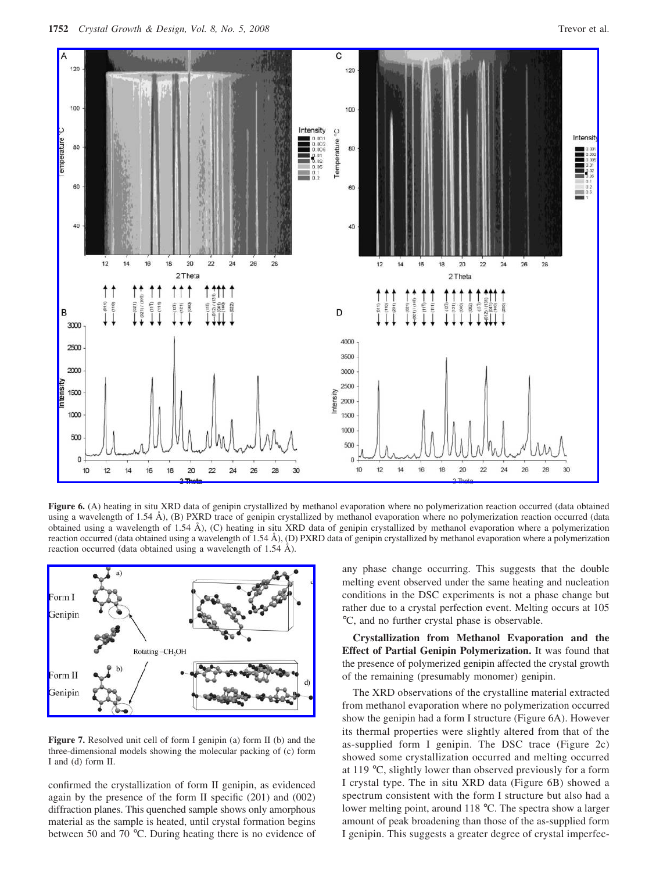

Figure 6. (A) heating in situ XRD data of genipin crystallized by methanol evaporation where no polymerization reaction occurred (data obtained using a wavelength of 1.54 Å), (B) PXRD trace of genipin crystallized by methanol evaporation where no polymerization reaction occurred (data obtained using a wavelength of 1.54 Å), (C) heating in situ XRD data of genipin crystallized by methanol evaporation where a polymerization reaction occurred (data obtained using a wavelength of 1.54 Å), (D) PXRD data of genipin crystallized by methanol evaporation where a polymerization reaction occurred (data obtained using a wavelength of 1.54 Å).



**Figure 7.** Resolved unit cell of form I genipin (a) form II (b) and the three-dimensional models showing the molecular packing of (c) form I and (d) form II.

confirmed the crystallization of form II genipin, as evidenced again by the presence of the form II specific (201) and (002) diffraction planes. This quenched sample shows only amorphous material as the sample is heated, until crystal formation begins between 50 and 70 °C. During heating there is no evidence of any phase change occurring. This suggests that the double melting event observed under the same heating and nucleation conditions in the DSC experiments is not a phase change but rather due to a crystal perfection event. Melting occurs at 105 °C, and no further crystal phase is observable.

**Crystallization from Methanol Evaporation and the Effect of Partial Genipin Polymerization.** It was found that the presence of polymerized genipin affected the crystal growth of the remaining (presumably monomer) genipin.

The XRD observations of the crystalline material extracted from methanol evaporation where no polymerization occurred show the genipin had a form I structure (Figure 6A). However its thermal properties were slightly altered from that of the as-supplied form I genipin. The DSC trace (Figure 2c) showed some crystallization occurred and melting occurred at 119 °C, slightly lower than observed previously for a form I crystal type. The in situ XRD data (Figure 6B) showed a spectrum consistent with the form I structure but also had a lower melting point, around 118 °C. The spectra show a larger amount of peak broadening than those of the as-supplied form I genipin. This suggests a greater degree of crystal imperfec